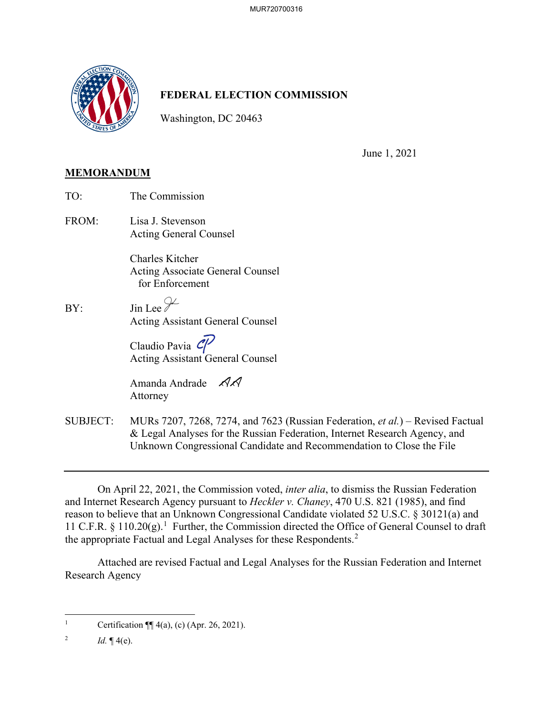

## **FEDERAL ELECTION COMMISSION**

Washington, DC 20463

June 1, 2021

## **MEMORANDUM**

| TO:   | The Commission                                                         |
|-------|------------------------------------------------------------------------|
| FROM: | Lisa J. Stevenson<br><b>Acting General Counsel</b>                     |
|       | Charles Kitcher<br>Acting Associate General Counsel<br>for Enforcement |
| BY:   | $\sin$ Lee $\mathcal{V}$<br><b>Acting Assistant General Counsel</b>    |
|       | Claudio Pavia $\mathcal{C}$<br><b>Acting Assistant General Counsel</b> |
|       | Amanda Andrade $\mathcal{AA}$<br>Attorney                              |
|       |                                                                        |

SUBJECT: MURs 7207, 7268, 7274, and 7623 (Russian Federation, *et al.*) – Revised Factual & Legal Analyses for the Russian Federation, Internet Research Agency, and Unknown Congressional Candidate and Recommendation to Close the File

On April 22, 2021, the Commission voted, *inter alia*, to dismiss the Russian Federation and Internet Research Agency pursuant to *Heckler v. Chaney*, 470 U.S. 821 (1985), and find reason to believe that an Unknown Congressional Candidate violated 52 U.S.C. § 30121(a) and 11 C.F.R.  $\S$  110.20(g).<sup>1</sup> Further, the Commission directed the Office of General Counsel to draft the appropriate Factual and Legal Analyses for these Respondents.<sup>2</sup>

Attached are revised Factual and Legal Analyses for the Russian Federation and Internet Research Agency

<sup>&</sup>lt;sup>1</sup> Certification  $\P\P$  4(a), (c) (Apr. 26, 2021).

<sup>&</sup>lt;sup>2</sup> *Id.*  $\P(4(e))$ .